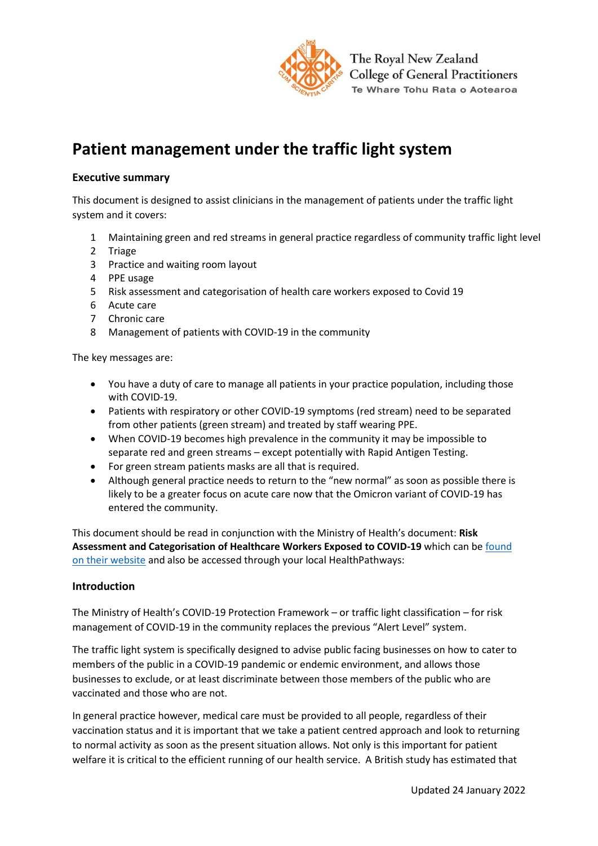

# **Patient management under the traffic light system**

### **Executive summary**

This document is designed to assist clinicians in the management of patients under the traffic light system and it covers:

- 1 Maintaining green and red streams in general practice regardless of community traffic light level
- 2 Triage
- 3 Practice and waiting room layout
- 4 PPE usage
- 5 Risk assessment and categorisation of health care workers exposed to Covid 19
- 6 Acute care
- 7 Chronic care
- 8 Management of patients with COVID-19 in the community

The key messages are:

- You have a duty of care to manage all patients in your practice population, including those with COVID-19.
- Patients with respiratory or other COVID-19 symptoms (red stream) need to be separated from other patients (green stream) and treated by staff wearing PPE.
- When COVID-19 becomes high prevalence in the community it may be impossible to separate red and green streams – except potentially with Rapid Antigen Testing.
- For green stream patients masks are all that is required.
- Although general practice needs to return to the "new normal" as soon as possible there is likely to be a greater focus on acute care now that the Omicron variant of COVID-19 has entered the community.

This document should be read in conjunction with the Ministry of Health's document: **Risk Assessment and Categorisation of Healthcare Workers Exposed to COVID-19** which can be [found](https://www.health.govt.nz/our-work/diseases-and-conditions/covid-19-novel-coronavirus/covid-19-information-health-professionals/guidance-critical-health-services-during-omicron-outbreak)  [on their](https://www.health.govt.nz/our-work/diseases-and-conditions/covid-19-novel-coronavirus/covid-19-information-health-professionals/guidance-critical-health-services-during-omicron-outbreak) website and also be accessed through your local HealthPathways:

#### **Introduction**

The Ministry of Health's COVID-19 Protection Framework – or traffic light classification – for risk management of COVID-19 in the community replaces the previous "Alert Level" system.

The traffic light system is specifically designed to advise public facing businesses on how to cater to members of the public in a COVID-19 pandemic or endemic environment, and allows those businesses to exclude, or at least discriminate between those members of the public who are vaccinated and those who are not.

In general practice however, medical care must be provided to all people, regardless of their vaccination status and it is important that we take a patient centred approach and look to returning to normal activity as soon as the present situation allows. Not only is this important for patient welfare it is critical to the efficient running of our health service. A British study has estimated that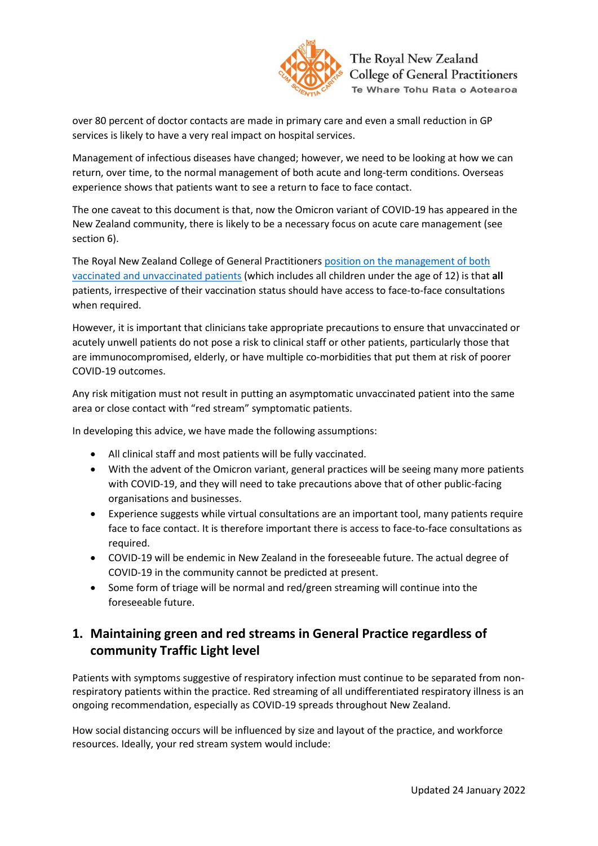

over 80 percent of doctor contacts are made in primary care and even a small reduction in GP services is likely to have a very real impact on hospital services.

Management of infectious diseases have changed; however, we need to be looking at how we can return, over time, to the normal management of both acute and long-term conditions. Overseas experience shows that patients want to see a return to face to face contact.

The one caveat to this document is that, now the Omicron variant of COVID-19 has appeared in the New Zealand community, there is likely to be a necessary focus on acute care management (see section 6).

The Royal New Zealand College of General Practitioners [position on the management of both](about:blank)  [vaccinated and unvaccinated patients](about:blank) (which includes all children under the age of 12) is that **all**  patients, irrespective of their vaccination status should have access to face-to-face consultations when required.

However, it is important that clinicians take appropriate precautions to ensure that unvaccinated or acutely unwell patients do not pose a risk to clinical staff or other patients, particularly those that are immunocompromised, elderly, or have multiple co-morbidities that put them at risk of poorer COVID-19 outcomes.

Any risk mitigation must not result in putting an asymptomatic unvaccinated patient into the same area or close contact with "red stream" symptomatic patients.

In developing this advice, we have made the following assumptions:

- All clinical staff and most patients will be fully vaccinated.
- With the advent of the Omicron variant, general practices will be seeing many more patients with COVID-19, and they will need to take precautions above that of other public-facing organisations and businesses.
- Experience suggests while virtual consultations are an important tool, many patients require face to face contact. It is therefore important there is access to face-to-face consultations as required.
- COVID-19 will be endemic in New Zealand in the foreseeable future. The actual degree of COVID-19 in the community cannot be predicted at present.
- Some form of triage will be normal and red/green streaming will continue into the foreseeable future.

# **1. Maintaining green and red streams in General Practice regardless of community Traffic Light level**

Patients with symptoms suggestive of respiratory infection must continue to be separated from nonrespiratory patients within the practice. Red streaming of all undifferentiated respiratory illness is an ongoing recommendation, especially as COVID-19 spreads throughout New Zealand.

How social distancing occurs will be influenced by size and layout of the practice, and workforce resources. Ideally, your red stream system would include: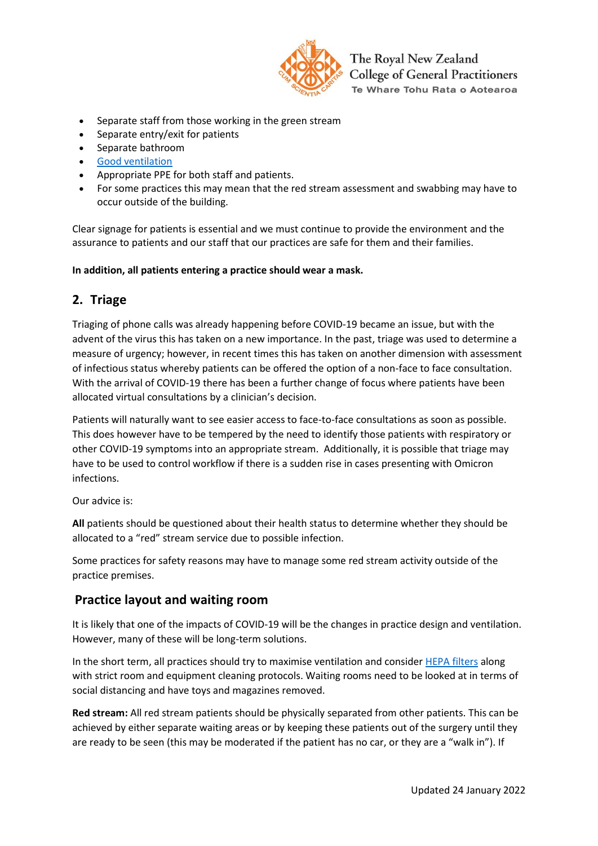

- Separate staff from those working in the green stream
- Separate entry/exit for patients
- Separate bathroom
- [Good ventilation](about:blank)
- Appropriate PPE for both staff and patients.
- For some practices this may mean that the red stream assessment and swabbing may have to occur outside of the building.

Clear signage for patients is essential and we must continue to provide the environment and the assurance to patients and our staff that our practices are safe for them and their families.

**In addition, all patients entering a practice should wear a mask.**

### **2. Triage**

Triaging of phone calls was already happening before COVID-19 became an issue, but with the advent of the virus this has taken on a new importance. In the past, triage was used to determine a measure of urgency; however, in recent times this has taken on another dimension with assessment of infectious status whereby patients can be offered the option of a non-face to face consultation. With the arrival of COVID-19 there has been a further change of focus where patients have been allocated virtual consultations by a clinician's decision.

Patients will naturally want to see easier access to face-to-face consultations as soon as possible. This does however have to be tempered by the need to identify those patients with respiratory or other COVID-19 symptoms into an appropriate stream. Additionally, it is possible that triage may have to be used to control workflow if there is a sudden rise in cases presenting with Omicron infections.

Our advice is:

**All** patients should be questioned about their health status to determine whether they should be allocated to a "red" stream service due to possible infection.

Some practices for safety reasons may have to manage some red stream activity outside of the practice premises.

### **Practice layout and waiting room**

It is likely that one of the impacts of COVID-19 will be the changes in practice design and ventilation. However, many of these will be long-term solutions.

In the short term, all practices should try to maximise ventilation and conside[r HEPA](about:blank) filters along with strict room and equipment cleaning protocols. Waiting rooms need to be looked at in terms of social distancing and have toys and magazines removed.

**Red stream:** All red stream patients should be physically separated from other patients. This can be achieved by either separate waiting areas or by keeping these patients out of the surgery until they are ready to be seen (this may be moderated if the patient has no car, or they are a "walk in"). If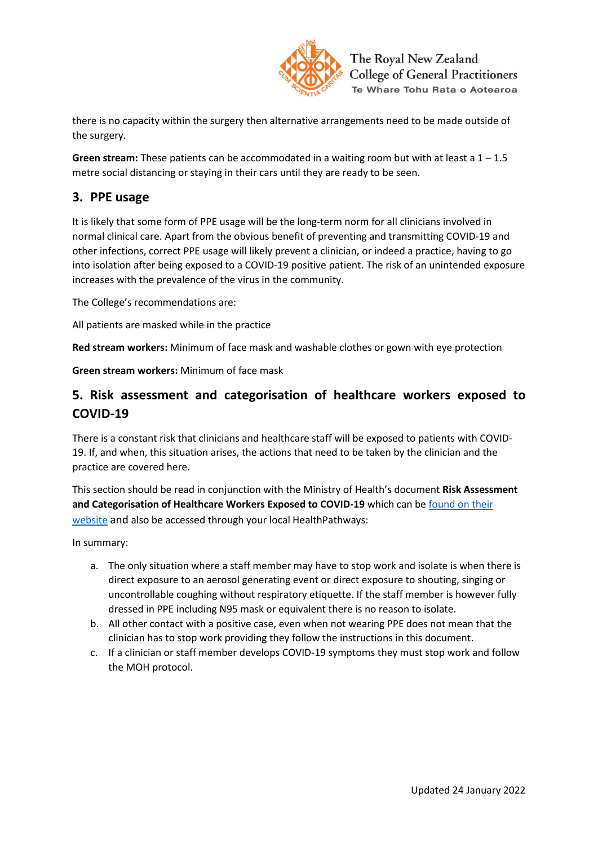

there is no capacity within the surgery then alternative arrangements need to be made outside of the surgery.

**Green stream:** These patients can be accommodated in a waiting room but with at least a 1 – 1.5 metre social distancing or staying in their cars until they are ready to be seen.

## **3. PPE usage**

It is likely that some form of PPE usage will be the long-term norm for all clinicians involved in normal clinical care. Apart from the obvious benefit of preventing and transmitting COVID-19 and other infections, correct PPE usage will likely prevent a clinician, or indeed a practice, having to go into isolation after being exposed to a COVID-19 positive patient. The risk of an unintended exposure increases with the prevalence of the virus in the community.

The College's recommendations are:

All patients are masked while in the practice

**Red stream workers:** Minimum of face mask and washable clothes or gown with eye protection

**Green stream workers:** Minimum of face mask

# **5. Risk assessment and categorisation of healthcare workers exposed to COVID-19**

There is a constant risk that clinicians and healthcare staff will be exposed to patients with COVID-19. If, and when, this situation arises, the actions that need to be taken by the clinician and the practice are covered here.

This section should be read in conjunction with the Ministry of Health's document **Risk Assessment and Categorisation of Healthcare Workers Exposed to COVID-19** which can b[e found on their](https://www.health.govt.nz/our-work/diseases-and-conditions/covid-19-novel-coronavirus/covid-19-information-health-professionals/guidance-critical-health-services-during-omicron-outbreak)  [website](https://www.health.govt.nz/our-work/diseases-and-conditions/covid-19-novel-coronavirus/covid-19-information-health-professionals/guidance-critical-health-services-during-omicron-outbreak) and also be accessed through your local HealthPathways:

In summary:

- a. The only situation where a staff member may have to stop work and isolate is when there is direct exposure to an aerosol generating event or direct exposure to shouting, singing or uncontrollable coughing without respiratory etiquette. If the staff member is however fully dressed in PPE including N95 mask or equivalent there is no reason to isolate.
- b. All other contact with a positive case, even when not wearing PPE does not mean that the clinician has to stop work providing they follow the instructions in this document.
- c. If a clinician or staff member develops COVID-19 symptoms they must stop work and follow the MOH protocol.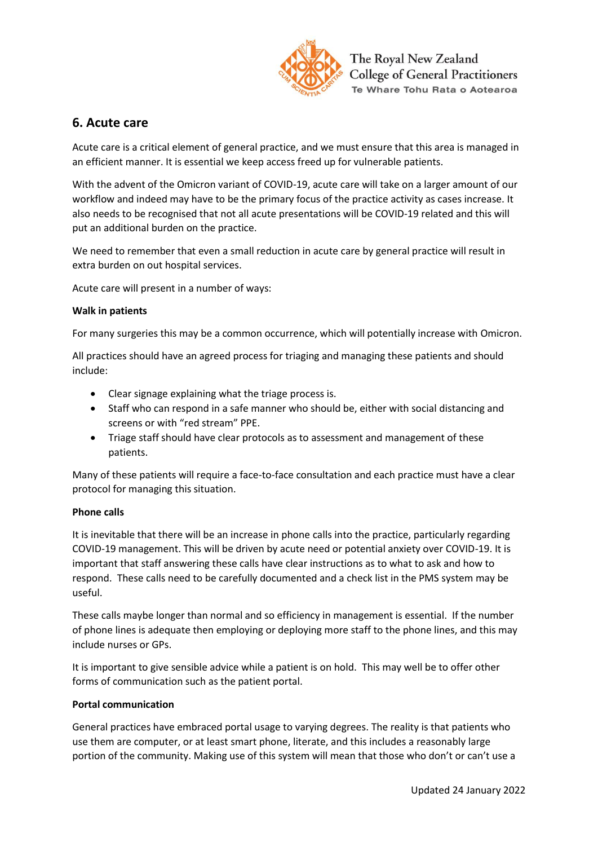

# **6. Acute care**

Acute care is a critical element of general practice, and we must ensure that this area is managed in an efficient manner. It is essential we keep access freed up for vulnerable patients.

With the advent of the Omicron variant of COVID-19, acute care will take on a larger amount of our workflow and indeed may have to be the primary focus of the practice activity as cases increase. It also needs to be recognised that not all acute presentations will be COVID-19 related and this will put an additional burden on the practice.

We need to remember that even a small reduction in acute care by general practice will result in extra burden on out hospital services.

Acute care will present in a number of ways:

#### **Walk in patients**

For many surgeries this may be a common occurrence, which will potentially increase with Omicron.

All practices should have an agreed process for triaging and managing these patients and should include:

- Clear signage explaining what the triage process is.
- Staff who can respond in a safe manner who should be, either with social distancing and screens or with "red stream" PPE.
- Triage staff should have clear protocols as to assessment and management of these patients.

Many of these patients will require a face-to-face consultation and each practice must have a clear protocol for managing this situation.

#### **Phone calls**

It is inevitable that there will be an increase in phone calls into the practice, particularly regarding COVID-19 management. This will be driven by acute need or potential anxiety over COVID-19. It is important that staff answering these calls have clear instructions as to what to ask and how to respond. These calls need to be carefully documented and a check list in the PMS system may be useful.

These calls maybe longer than normal and so efficiency in management is essential. If the number of phone lines is adequate then employing or deploying more staff to the phone lines, and this may include nurses or GPs.

It is important to give sensible advice while a patient is on hold. This may well be to offer other forms of communication such as the patient portal.

#### **Portal communication**

General practices have embraced portal usage to varying degrees. The reality is that patients who use them are computer, or at least smart phone, literate, and this includes a reasonably large portion of the community. Making use of this system will mean that those who don't or can't use a